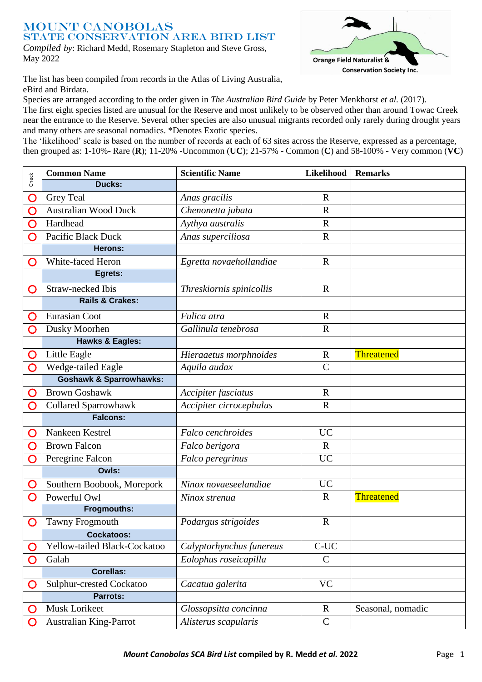## Mount Canobolas STATE CONSERVATION AREA BIRD LIST *Compiled by*: Richard Medd, Rosemary Stapleton and Steve Gross, May 2022



The list has been compiled from records in the Atlas of Living Australia, eBird and Birdata.

Species are arranged according to the order given in *The Australian Bird Guide* by Peter Menkhorst *et al.* (2017).

The first eight species listed are unusual for the Reserve and most unlikely to be observed other than around Towac Creek near the entrance to the Reserve. Several other species are also unusual migrants recorded only rarely during drought years and many others are seasonal nomadics. \*Denotes Exotic species.

The 'likelihood' scale is based on the number of records at each of 63 sites across the Reserve, expressed as a percentage, then grouped as: 1-10%- Rare (**R**); 11-20% -Uncommon (**UC**); 21-57% - Common (**C**) and 58-100% - Very common (**VC**)

| Check | <b>Common Name</b>                 | <b>Scientific Name</b>   | Likelihood    | <b>Remarks</b>    |
|-------|------------------------------------|--------------------------|---------------|-------------------|
|       | Ducks:                             |                          |               |                   |
| O     | <b>Grey Teal</b>                   | Anas gracilis            | $\mathbf R$   |                   |
| O     | <b>Australian Wood Duck</b>        | Chenonetta jubata        | $\mathbb{R}$  |                   |
| O     | Hardhead                           | Aythya australis         | $\mathbf R$   |                   |
| O     | Pacific Black Duck                 | Anas superciliosa        | $\mathbf R$   |                   |
|       | <b>Herons:</b>                     |                          |               |                   |
| O     | White-faced Heron                  | Egretta novaehollandiae  | $\mathbf R$   |                   |
|       | Egrets:                            |                          |               |                   |
| O     | Straw-necked Ibis                  | Threskiornis spinicollis | $\mathbb{R}$  |                   |
|       | <b>Rails &amp; Crakes:</b>         |                          |               |                   |
| O     | Eurasian Coot                      | Fulica atra              | $\mathbf R$   |                   |
| O     | Dusky Moorhen                      | Gallinula tenebrosa      | $\mathbf R$   |                   |
|       | <b>Hawks &amp; Eagles:</b>         |                          |               |                   |
| O     | Little Eagle                       | Hieraaetus morphnoides   | $\mathbf R$   | Threatened        |
| O     | Wedge-tailed Eagle                 | Aquila audax             | $\mathsf{C}$  |                   |
|       | <b>Goshawk &amp; Sparrowhawks:</b> |                          |               |                   |
| O     | <b>Brown Goshawk</b>               | Accipiter fasciatus      | $\mathbf R$   |                   |
| O     | Collared Sparrowhawk               | Accipiter cirrocephalus  | $\mathbf R$   |                   |
|       | <b>Falcons:</b>                    |                          |               |                   |
| O     | Nankeen Kestrel                    | Falco cenchroides        | <b>UC</b>     |                   |
| O     | <b>Brown Falcon</b>                | Falco berigora           | $\mathbf R$   |                   |
| O     | Peregrine Falcon                   | Falco peregrinus         | <b>UC</b>     |                   |
|       | Owls:                              |                          |               |                   |
| O     | Southern Boobook, Morepork         | Ninox novaeseelandiae    | <b>UC</b>     |                   |
| O     | Powerful Owl                       | Ninox strenua            | $\mathbf R$   | Threatened        |
|       | <b>Frogmouths:</b>                 |                          |               |                   |
| O     | <b>Tawny Frogmouth</b>             | Podargus strigoides      | $\mathbf R$   |                   |
|       | <b>Cockatoos:</b>                  |                          |               |                   |
|       | Yellow-tailed Black-Cockatoo       | Calyptorhynchus funereus | $C-UC$        |                   |
|       | Galah                              | Eolophus roseicapilla    | $\mathsf{C}$  |                   |
|       | <b>Corellas:</b>                   |                          |               |                   |
| O     | Sulphur-crested Cockatoo           | Cacatua galerita         | <b>VC</b>     |                   |
|       | <b>Parrots:</b>                    |                          |               |                   |
|       | Musk Lorikeet                      | Glossopsitta concinna    | $\mathbf{R}$  | Seasonal, nomadic |
|       | Australian King-Parrot             | Alisterus scapularis     | $\mathcal{C}$ |                   |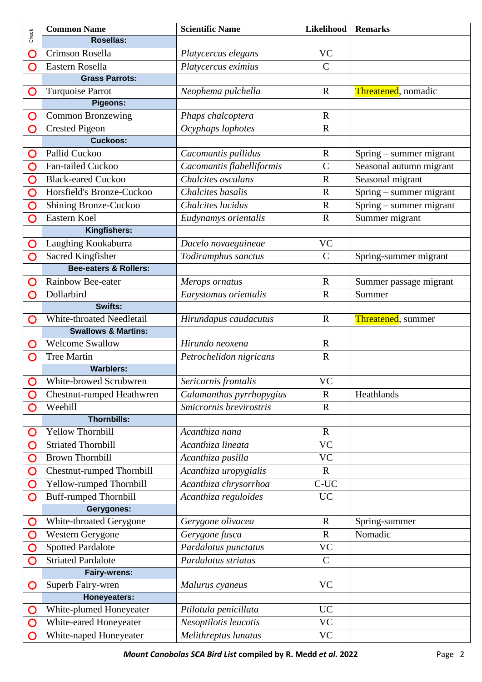| Check        | <b>Common Name</b>                                          | <b>Scientific Name</b>    | Likelihood    | <b>Remarks</b>              |
|--------------|-------------------------------------------------------------|---------------------------|---------------|-----------------------------|
|              | Rosellas:                                                   |                           |               |                             |
| O            | Crimson Rosella                                             | Platycercus elegans       | <b>VC</b>     |                             |
| O            | Eastern Rosella                                             | Platycercus eximius       | $\mathsf{C}$  |                             |
|              | <b>Grass Parrots:</b>                                       |                           |               |                             |
| O            | Turquoise Parrot                                            | Neophema pulchella        | $\mathbf R$   | <b>Threatened</b> , nomadic |
|              | <b>Pigeons:</b>                                             |                           |               |                             |
| O            | <b>Common Bronzewing</b>                                    | Phaps chalcoptera         | $\mathbf R$   |                             |
| O            | <b>Crested Pigeon</b>                                       | Ocyphaps lophotes         | $\mathbf R$   |                             |
|              | <b>Cuckoos:</b>                                             |                           |               |                             |
| O            | Pallid Cuckoo                                               | Cacomantis pallidus       | $\mathbf R$   | Spring – summer migrant     |
| O            | Fan-tailed Cuckoo                                           | Cacomantis flabelliformis | $\mathcal{C}$ | Seasonal autumn migrant     |
| O            | <b>Black-eared Cuckoo</b>                                   | Chalcites osculans        | $\mathbf R$   | Seasonal migrant            |
| O            | Horsfield's Bronze-Cuckoo                                   | Chalcites basalis         | $\mathbf R$   | Spring - summer migrant     |
| O            | Shining Bronze-Cuckoo                                       | Chalcites lucidus         | $\mathbf R$   | Spring – summer migrant     |
| O            | Eastern Koel                                                | Eudynamys orientalis      | $\mathbf R$   | Summer migrant              |
|              | Kingfishers:                                                |                           |               |                             |
| O            | Laughing Kookaburra                                         | Dacelo novaeguineae       | <b>VC</b>     |                             |
| O            | Sacred Kingfisher                                           | Todiramphus sanctus       | $\mathbf C$   | Spring-summer migrant       |
|              | Bee-eaters & Rollers:                                       |                           |               |                             |
| O            | Rainbow Bee-eater                                           | Merops ornatus            | $\mathbf R$   | Summer passage migrant      |
| O            | Dollarbird                                                  | Eurystomus orientalis     | $\mathbf R$   | Summer                      |
|              | Swifts:                                                     |                           |               |                             |
| O            | White-throated Needletail<br><b>Swallows &amp; Martins:</b> | Hirundapus caudacutus     | $\mathbf R$   | Threatened, summer          |
|              | <b>Welcome Swallow</b>                                      | Hirundo neoxena           | $\mathbf R$   |                             |
| O<br>O       | <b>Tree Martin</b>                                          | Petrochelidon nigricans   | $\mathbf R$   |                             |
|              | <b>Warblers:</b>                                            |                           |               |                             |
| $\mathbf{O}$ | White-browed Scrubwren                                      | Sericornis frontalis      | <b>VC</b>     |                             |
| O            | Chestnut-rumped Heathwren                                   | Calamanthus pyrrhopygius  | $\mathbf R$   | Heathlands                  |
| O            | Weebill                                                     | Smicrornis brevirostris   | $\mathbf R$   |                             |
|              | <b>Thornbills:</b>                                          |                           |               |                             |
| O            | Yellow Thornbill                                            | Acanthiza nana            | $\mathbf R$   |                             |
| O            | <b>Striated Thornbill</b>                                   | Acanthiza lineata         | <b>VC</b>     |                             |
| O            | <b>Brown Thornbill</b>                                      | Acanthiza pusilla         | <b>VC</b>     |                             |
| O            | <b>Chestnut-rumped Thornbill</b>                            | Acanthiza uropygialis     | $\mathbf R$   |                             |
| O            | Yellow-rumped Thornbill                                     | Acanthiza chrysorrhoa     | $C-UC$        |                             |
| O            | <b>Buff-rumped Thornbill</b>                                | Acanthiza reguloides      | <b>UC</b>     |                             |
|              | Gerygones:                                                  |                           |               |                             |
| O            | White-throated Gerygone                                     | Gerygone olivacea         | $\mathbf R$   | Spring-summer               |
| O            | Western Gerygone                                            | Gerygone fusca            | $\mathbf R$   | Nomadic                     |
| O            | <b>Spotted Pardalote</b>                                    | Pardalotus punctatus      | <b>VC</b>     |                             |
| O            | <b>Striated Pardalote</b>                                   | Pardalotus striatus       | $\mathcal{C}$ |                             |
|              | Fairy-wrens:                                                |                           |               |                             |
| O            | Superb Fairy-wren                                           | Malurus cyaneus           | <b>VC</b>     |                             |
|              | <b>Honeyeaters:</b>                                         |                           |               |                             |
| O            | White-plumed Honeyeater                                     | Ptilotula penicillata     | <b>UC</b>     |                             |
| O            | White-eared Honeyeater                                      | Nesoptilotis leucotis     | <b>VC</b>     |                             |
| O            | White-naped Honeyeater                                      | Melithreptus lunatus      | <b>VC</b>     |                             |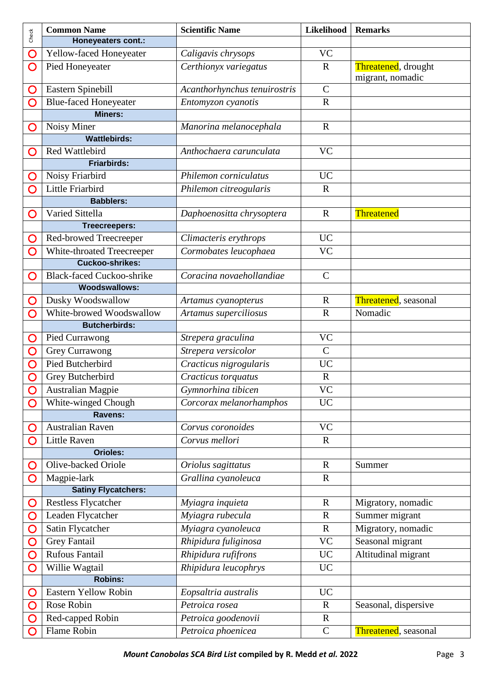| Check | <b>Common Name</b>               | <b>Scientific Name</b>       | Likelihood   | <b>Remarks</b>                          |
|-------|----------------------------------|------------------------------|--------------|-----------------------------------------|
|       | Honeyeaters cont.:               |                              |              |                                         |
| O     | Yellow-faced Honeyeater          | Caligavis chrysops           | <b>VC</b>    |                                         |
| O     | Pied Honeyeater                  | Certhionyx variegatus        | $\mathbf R$  | Threatened, drought<br>migrant, nomadic |
| O     | Eastern Spinebill                | Acanthorhynchus tenuirostris | $\mathbf C$  |                                         |
| O     | <b>Blue-faced Honeyeater</b>     | Entomyzon cyanotis           | $\mathbf R$  |                                         |
|       | <b>Miners:</b>                   |                              |              |                                         |
| O     | Noisy Miner                      | Manorina melanocephala       | $\mathbf R$  |                                         |
|       | <b>Wattlebirds:</b>              |                              |              |                                         |
| O     | Red Wattlebird                   | Anthochaera carunculata      | <b>VC</b>    |                                         |
|       | Friarbirds:                      |                              |              |                                         |
| O     | Noisy Friarbird                  | Philemon corniculatus        | <b>UC</b>    |                                         |
| O     | Little Friarbird                 | Philemon citreogularis       | $\mathbf R$  |                                         |
|       | <b>Babblers:</b>                 |                              |              |                                         |
| O     | Varied Sittella                  | Daphoenositta chrysoptera    | $\mathbf R$  | Threatened                              |
|       | <b>Treecreepers:</b>             |                              |              |                                         |
| O     | Red-browed Treecreeper           | Climacteris erythrops        | <b>UC</b>    |                                         |
| O     | White-throated Treecreeper       | Cormobates leucophaea        | <b>VC</b>    |                                         |
|       | <b>Cuckoo-shrikes:</b>           |                              |              |                                         |
| O     | <b>Black-faced Cuckoo-shrike</b> | Coracina novaehollandiae     | $\mathbf C$  |                                         |
|       | <b>Woodswallows:</b>             |                              |              |                                         |
| O     | Dusky Woodswallow                | Artamus cyanopterus          | $\mathbf R$  | Threatened, seasonal                    |
| O     | White-browed Woodswallow         | Artamus superciliosus        | $\mathbf R$  | Nomadic                                 |
|       | <b>Butcherbirds:</b>             |                              |              |                                         |
| O     | Pied Currawong                   | Strepera graculina           | <b>VC</b>    |                                         |
| O     | <b>Grey Currawong</b>            | Strepera versicolor          | $\mathsf{C}$ |                                         |
| O     | Pied Butcherbird                 | Cracticus nigrogularis       | <b>UC</b>    |                                         |
| O     | Grey Butcherbird                 | Cracticus torquatus          | $\mathbf R$  |                                         |
| O     | <b>Australian Magpie</b>         | Gymnorhina tibicen           | VC           |                                         |
| O     | White-winged Chough              | Corcorax melanorhamphos      | <b>UC</b>    |                                         |
|       | Ravens:                          |                              |              |                                         |
| O     | <b>Australian Raven</b>          | Corvus coronoides            | <b>VC</b>    |                                         |
| O     | <b>Little Raven</b>              | Corvus mellori               | $\mathbf R$  |                                         |
|       | <b>Orioles:</b>                  |                              |              |                                         |
| O     | Olive-backed Oriole              | Oriolus sagittatus           | $\mathbf R$  | Summer                                  |
| O     | Magpie-lark                      | Grallina cyanoleuca          | $\mathbf R$  |                                         |
|       | <b>Satiny Flycatchers:</b>       |                              |              |                                         |
| O     | Restless Flycatcher              | Myiagra inquieta             | $\mathbf R$  | Migratory, nomadic                      |
| O     | Leaden Flycatcher                | Myiagra rubecula             | $\mathbf R$  | Summer migrant                          |
| O     | Satin Flycatcher                 | Myiagra cyanoleuca           | $\mathbf R$  | Migratory, nomadic                      |
| O     | Grey Fantail                     | Rhipidura fuliginosa         | <b>VC</b>    | Seasonal migrant                        |
| O     | Rufous Fantail                   | Rhipidura rufifrons          | <b>UC</b>    | Altitudinal migrant                     |
| O     | Willie Wagtail                   | Rhipidura leucophrys         | <b>UC</b>    |                                         |
|       | <b>Robins:</b>                   |                              |              |                                         |
| O     | Eastern Yellow Robin             | Eopsaltria australis         | <b>UC</b>    |                                         |
| O     | Rose Robin                       | Petroica rosea               | $\mathbf R$  | Seasonal, dispersive                    |
|       | Red-capped Robin                 | Petroica goodenovii          | $\mathbf R$  |                                         |
| O     | Flame Robin                      | Petroica phoenicea           | $\mathbf C$  | Threatened, seasonal                    |